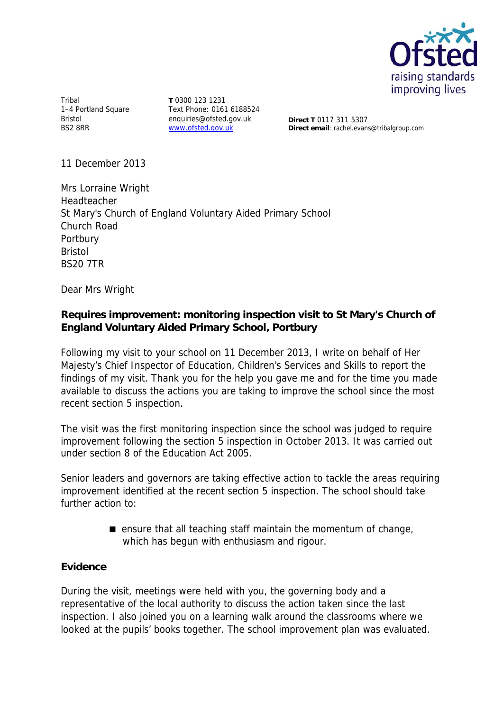

Tribal 1-4 Portland Square Bristol BS2 8RR

**T** 0300 123 1231 Text Phone: 0161 6188524 enquiries@ofsted.gov.uk www.ofsted.gov.uk

**Direct T** 0117 311 5307 **Direct email**: rachel.evans@tribalgroup.com

11 December 2013

Mrs Lorraine Wright Headteacher St Mary's Church of England Voluntary Aided Primary School Church Road Portbury Bristol BS20 7TR

Dear Mrs Wright

# **Requires improvement: monitoring inspection visit to St Mary's Church of England Voluntary Aided Primary School, Portbury**

Following my visit to your school on 11 December 2013, I write on behalf of Her Majesty's Chief Inspector of Education, Children's Services and Skills to report the findings of my visit. Thank you for the help you gave me and for the time you made available to discuss the actions you are taking to improve the school since the most recent section 5 inspection.

The visit was the first monitoring inspection since the school was judged to require improvement following the section 5 inspection in October 2013. It was carried out under section 8 of the Education Act 2005.

Senior leaders and governors are taking effective action to tackle the areas requiring improvement identified at the recent section 5 inspection. The school should take further action to:

> **E** ensure that all teaching staff maintain the momentum of change, which has begun with enthusiasm and rigour.

### **Evidence**

During the visit, meetings were held with you, the governing body and a representative of the local authority to discuss the action taken since the last inspection. I also joined you on a learning walk around the classrooms where we looked at the pupils' books together. The school improvement plan was evaluated.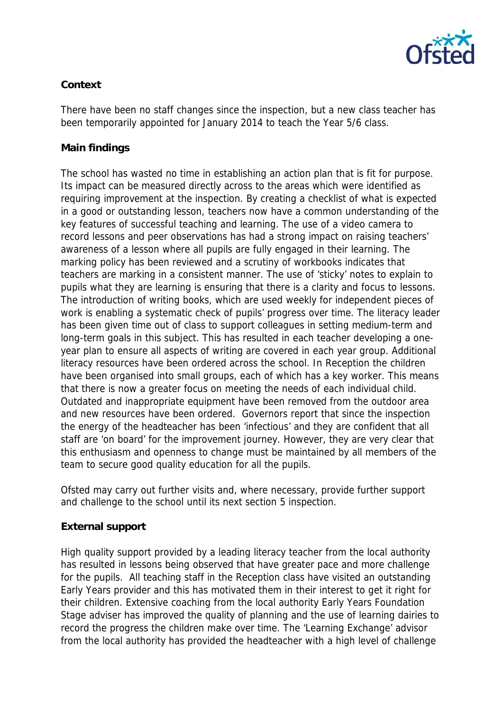

# **Context**

There have been no staff changes since the inspection, but a new class teacher has been temporarily appointed for January 2014 to teach the Year 5/6 class.

# **Main findings**

The school has wasted no time in establishing an action plan that is fit for purpose. Its impact can be measured directly across to the areas which were identified as requiring improvement at the inspection. By creating a checklist of what is expected in a good or outstanding lesson, teachers now have a common understanding of the key features of successful teaching and learning. The use of a video camera to record lessons and peer observations has had a strong impact on raising teachers' awareness of a lesson where all pupils are fully engaged in their learning. The marking policy has been reviewed and a scrutiny of workbooks indicates that teachers are marking in a consistent manner. The use of 'sticky' notes to explain to pupils what they are learning is ensuring that there is a clarity and focus to lessons. The introduction of writing books, which are used weekly for independent pieces of work is enabling a systematic check of pupils' progress over time. The literacy leader has been given time out of class to support colleagues in setting medium-term and long-term goals in this subject. This has resulted in each teacher developing a oneyear plan to ensure all aspects of writing are covered in each year group. Additional literacy resources have been ordered across the school. In Reception the children have been organised into small groups, each of which has a key worker. This means that there is now a greater focus on meeting the needs of each individual child. Outdated and inappropriate equipment have been removed from the outdoor area and new resources have been ordered. Governors report that since the inspection the energy of the headteacher has been 'infectious' and they are confident that all staff are 'on board' for the improvement journey. However, they are very clear that this enthusiasm and openness to change must be maintained by all members of the team to secure good quality education for all the pupils.

Ofsted may carry out further visits and, where necessary, provide further support and challenge to the school until its next section 5 inspection.

# **External support**

High quality support provided by a leading literacy teacher from the local authority has resulted in lessons being observed that have greater pace and more challenge for the pupils. All teaching staff in the Reception class have visited an outstanding Early Years provider and this has motivated them in their interest to get it right for their children. Extensive coaching from the local authority Early Years Foundation Stage adviser has improved the quality of planning and the use of learning dairies to record the progress the children make over time. The 'Learning Exchange' advisor from the local authority has provided the headteacher with a high level of challenge